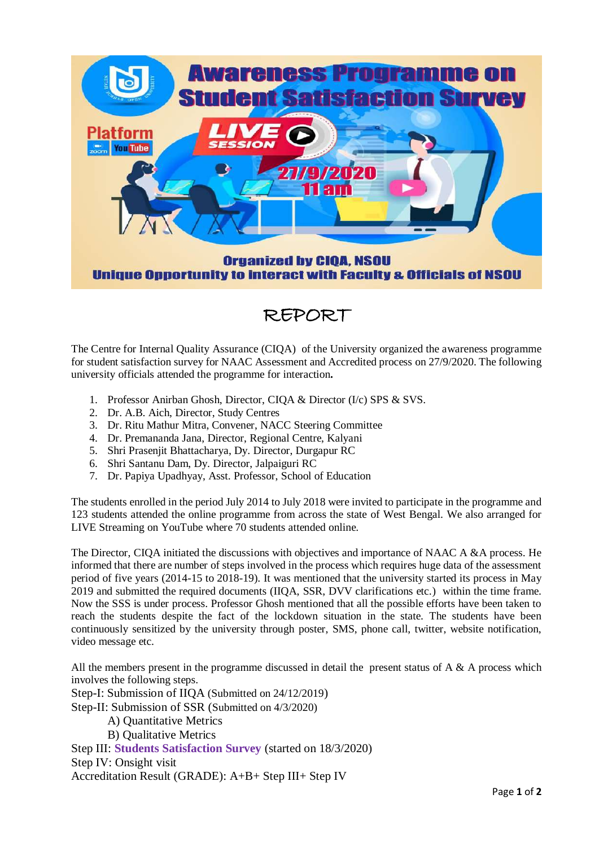

## REPORT

The Centre for Internal Quality Assurance (CIQA) of the University organized the awareness programme for student satisfaction survey for NAAC Assessment and Accredited process on 27/9/2020. The following university officials attended the programme for interaction**.**

- 1. Professor Anirban Ghosh, Director, CIQA & Director (I/c) SPS & SVS.
- 2. Dr. A.B. Aich, Director, Study Centres
- 3. Dr. Ritu Mathur Mitra, Convener, NACC Steering Committee
- 4. Dr. Premananda Jana, Director, Regional Centre, Kalyani
- 5. Shri Prasenjit Bhattacharya, Dy. Director, Durgapur RC
- 6. Shri Santanu Dam, Dy. Director, Jalpaiguri RC
- 7. Dr. Papiya Upadhyay, Asst. Professor, School of Education

The students enrolled in the period July 2014 to July 2018 were invited to participate in the programme and 123 students attended the online programme from across the state of West Bengal. We also arranged for LIVE Streaming on YouTube where 70 students attended online.

The Director, CIQA initiated the discussions with objectives and importance of NAAC A &A process. He informed that there are number of steps involved in the process which requires huge data of the assessment period of five years (2014-15 to 2018-19). It was mentioned that the university started its process in May 2019 and submitted the required documents (IIQA, SSR, DVV clarifications etc.) within the time frame. Now the SSS is under process. Professor Ghosh mentioned that all the possible efforts have been taken to reach the students despite the fact of the lockdown situation in the state. The students have been continuously sensitized by the university through poster, SMS, phone call, twitter, website notification, video message etc.

All the members present in the programme discussed in detail the present status of  $A \& A$  process which involves the following steps.

Step-I: Submission of IIQA (Submitted on 24/12/2019)

Step-II: Submission of SSR (Submitted on 4/3/2020)

- A) Quantitative Metrics
- B) Qualitative Metrics

Step III: **Students Satisfaction Survey** (started on 18/3/2020) Step IV: Onsight visit

Accreditation Result (GRADE): A+B+ Step III+ Step IV